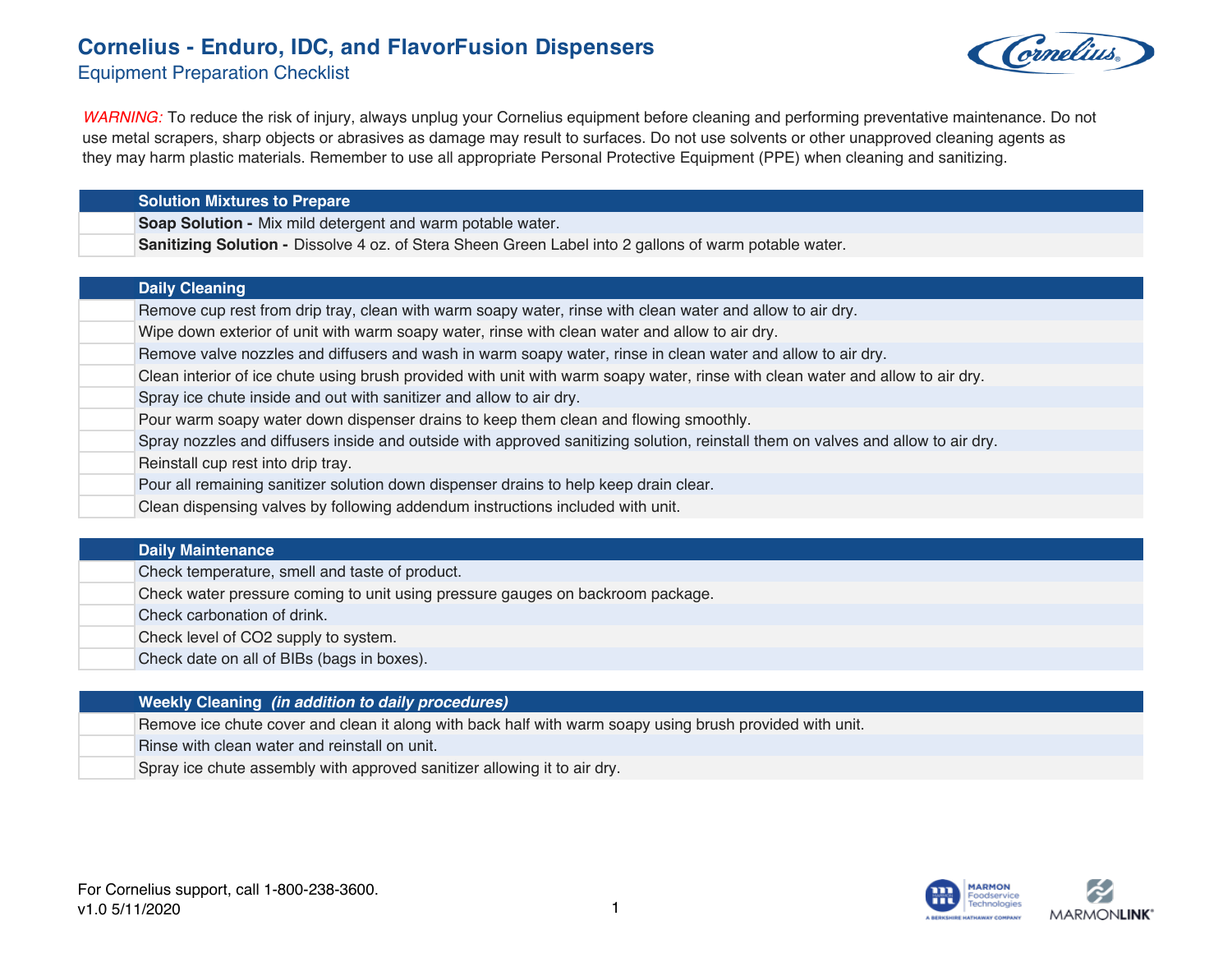## **Cornelius - Enduro, IDC, and FlavorFusion Dispensers**





*WARNING:* To reduce the risk of injury, always unplug your Cornelius equipment before cleaning and performing preventative maintenance. Do not use metal scrapers, sharp objects or abrasives as damage may result to surfaces. Do not use solvents or other unapproved cleaning agents as they may harm plastic materials. Remember to use all appropriate Personal Protective Equipment (PPE) when cleaning and sanitizing.

| <b>Solution Mixtures to Prepare</b>                                                                                              |
|----------------------------------------------------------------------------------------------------------------------------------|
| Soap Solution - Mix mild detergent and warm potable water.                                                                       |
| Sanitizing Solution - Dissolve 4 oz. of Stera Sheen Green Label into 2 gallons of warm potable water.                            |
|                                                                                                                                  |
| <b>Daily Cleaning</b>                                                                                                            |
| Remove cup rest from drip tray, clean with warm soapy water, rinse with clean water and allow to air dry.                        |
| Wipe down exterior of unit with warm soapy water, rinse with clean water and allow to air dry.                                   |
| Remove valve nozzles and diffusers and wash in warm soapy water, rinse in clean water and allow to air dry.                      |
| Clean interior of ice chute using brush provided with unit with warm soapy water, rinse with clean water and allow to air dry.   |
| Spray ice chute inside and out with sanitizer and allow to air dry.                                                              |
| Pour warm soapy water down dispenser drains to keep them clean and flowing smoothly.                                             |
| Spray nozzles and diffusers inside and outside with approved sanitizing solution, reinstall them on valves and allow to air dry. |

Reinstall cup rest into drip tray.

- Pour all remaining sanitizer solution down dispenser drains to help keep drain clear.
- Clean dispensing valves by following addendum instructions included with unit.

| <b>Daily Maintenance</b>                                                       |
|--------------------------------------------------------------------------------|
| Check temperature, smell and taste of product.                                 |
| Check water pressure coming to unit using pressure gauges on backroom package. |
| Check carbonation of drink.                                                    |
| Check level of CO2 supply to system.                                           |
| Check date on all of BIBs (bags in boxes).                                     |
|                                                                                |
| <b>Weekly Cleaning (in addition to daily procedures)</b>                       |

Remove ice chute cover and clean it along with back half with warm soapy using brush provided with unit.

- Rinse with clean water and reinstall on unit.
	- Spray ice chute assembly with approved sanitizer allowing it to air dry.